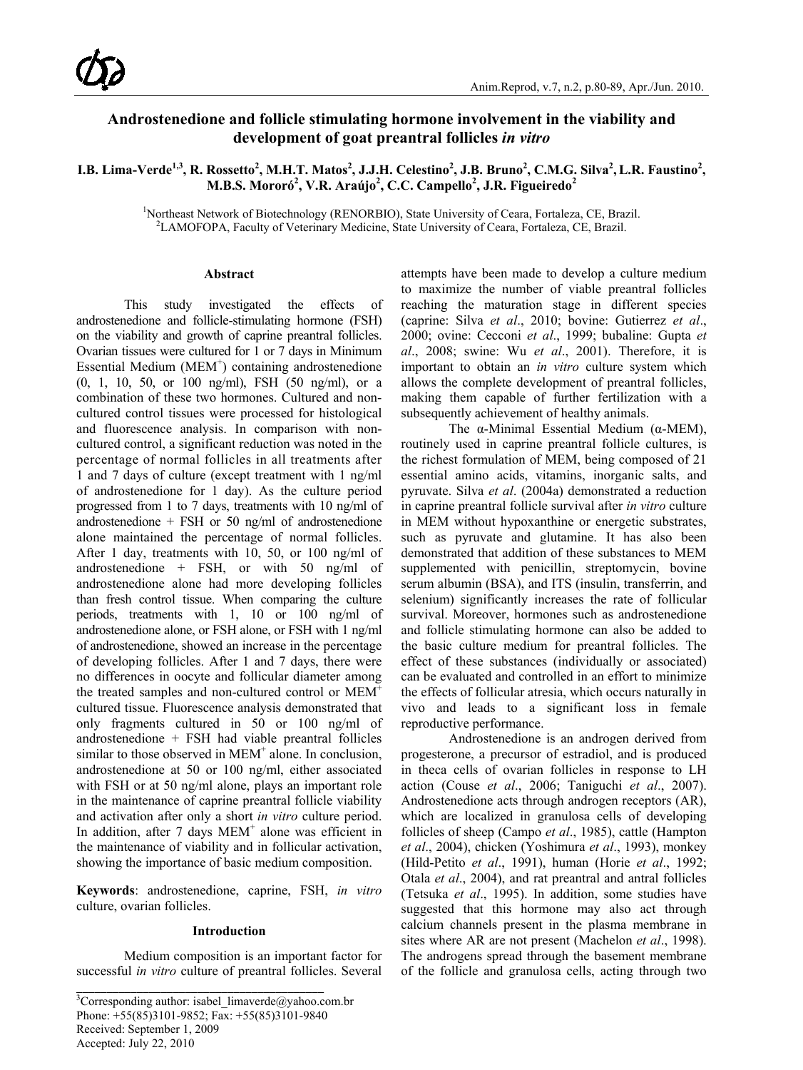# **Androstenedione and follicle stimulating hormone involvement in the viability and development of goat preantral follicles** *in vitro*

I.B. Lima-Verde<sup>1,3</sup>, R. Rossetto<sup>2</sup>, M.H.T. Matos<sup>2</sup>, J.J.H. Celestino<sup>2</sup>, J.B. Bruno<sup>2</sup>, C.M.G. Silva<sup>2</sup>, L.R. Faustino<sup>2</sup>, **M.B.S. Mororó<sup>2</sup> , V.R. Araújo<sup>2</sup> , C.C. Campello<sup>2</sup> , J.R. Figueiredo<sup>2</sup>**

> <sup>1</sup>Northeast Network of Biotechnology (RENORBIO), State University of Ceara, Fortaleza, CE, Brazil.<br><sup>2</sup>LAMOEOPA, Faculty of Veterinary Medicine, State University of Ceara, Fortaleza, CE, Brazil. <sup>2</sup>LAMOFOPA, Faculty of Veterinary Medicine, State University of Ceara, Fortaleza, CE, Brazil.

#### **Abstract**

This study investigated the effects of androstenedione and follicle-stimulating hormone (FSH) on the viability and growth of caprine preantral follicles. Ovarian tissues were cultured for 1 or 7 days in Minimum Essential Medium (MEM<sup>+</sup>) containing androstenedione (0, 1, 10, 50, or 100 ng/ml), FSH (50 ng/ml), or a combination of these two hormones. Cultured and noncultured control tissues were processed for histological and fluorescence analysis. In comparison with noncultured control, a significant reduction was noted in the percentage of normal follicles in all treatments after 1 and 7 days of culture (except treatment with 1 ng/ml of androstenedione for 1 day). As the culture period progressed from 1 to 7 days, treatments with 10 ng/ml of androstenedione + FSH or 50 ng/ml of androstenedione alone maintained the percentage of normal follicles. After 1 day, treatments with 10, 50, or 100 ng/ml of androstenedione + FSH, or with 50 ng/ml of androstenedione alone had more developing follicles than fresh control tissue. When comparing the culture periods, treatments with 1, 10 or 100 ng/ml of androstenedione alone, or FSH alone, or FSH with 1 ng/ml of androstenedione, showed an increase in the percentage of developing follicles. After 1 and 7 days, there were no differences in oocyte and follicular diameter among the treated samples and non-cultured control or MEM<sup>+</sup> cultured tissue. Fluorescence analysis demonstrated that only fragments cultured in 50 or 100 ng/ml of androstenedione + FSH had viable preantral follicles similar to those observed in MEM<sup>+</sup> alone. In conclusion, androstenedione at 50 or 100 ng/ml, either associated with FSH or at 50 ng/ml alone, plays an important role in the maintenance of caprine preantral follicle viability and activation after only a short *in vitro* culture period. In addition, after  $7 \text{ days } \text{MEM}^+$  alone was efficient in the maintenance of viability and in follicular activation, showing the importance of basic medium composition.

**Keywords**: androstenedione, caprine, FSH, *in vitro* culture, ovarian follicles.

#### **Introduction**

Medium composition is an important factor for successful *in vitro* culture of preantral follicles. Several

attempts have been made to develop a culture medium to maximize the number of viable preantral follicles reaching the maturation stage in different species (caprine: Silva *et al*., 2010; bovine: Gutierrez *et al*., 2000; ovine: Cecconi *et al*., 1999; bubaline: Gupta *et al*., 2008; swine: Wu *et al*., 2001). Therefore, it is important to obtain an *in vitro* culture system which allows the complete development of preantral follicles, making them capable of further fertilization with a subsequently achievement of healthy animals.

The α-Minimal Essential Medium ( $α$ -MEM), routinely used in caprine preantral follicle cultures, is the richest formulation of MEM, being composed of 21 essential amino acids, vitamins, inorganic salts, and pyruvate. Silva *et al*. (2004a) demonstrated a reduction in caprine preantral follicle survival after *in vitro* culture in MEM without hypoxanthine or energetic substrates, such as pyruvate and glutamine. It has also been demonstrated that addition of these substances to MEM supplemented with penicillin, streptomycin, bovine serum albumin (BSA), and ITS (insulin, transferrin, and selenium) significantly increases the rate of follicular survival. Moreover, hormones such as androstenedione and follicle stimulating hormone can also be added to the basic culture medium for preantral follicles. The effect of these substances (individually or associated) can be evaluated and controlled in an effort to minimize the effects of follicular atresia, which occurs naturally in vivo and leads to a significant loss in female reproductive performance.

Androstenedione is an androgen derived from progesterone, a precursor of estradiol, and is produced in theca cells of ovarian follicles in response to LH action (Couse *et al*., 2006; Taniguchi *et al*., 2007). Androstenedione acts through androgen receptors (AR), which are localized in granulosa cells of developing follicles of sheep (Campo *et al*., 1985), cattle (Hampton *et al*., 2004), chicken (Yoshimura *et al*., 1993), monkey (Hild-Petito *et al*., 1991), human (Horie *et al*., 1992; Otala *et al*., 2004), and rat preantral and antral follicles (Tetsuka *et al*., 1995). In addition, some studies have suggested that this hormone may also act through calcium channels present in the plasma membrane in sites where AR are not present (Machelon *et al*., 1998). The androgens spread through the basement membrane of the follicle and granulosa cells, acting through two

<sup>&</sup>lt;sup>3</sup>Corresponding author: [isabel\\_limaverde@yahoo.com.br](mailto:isabel_limaverde@yahoo.com.br) Phone: +55(85)3101-9852; Fax: +55(85)3101-9840 Received: September 1, 2009 Accepted: July 22, 2010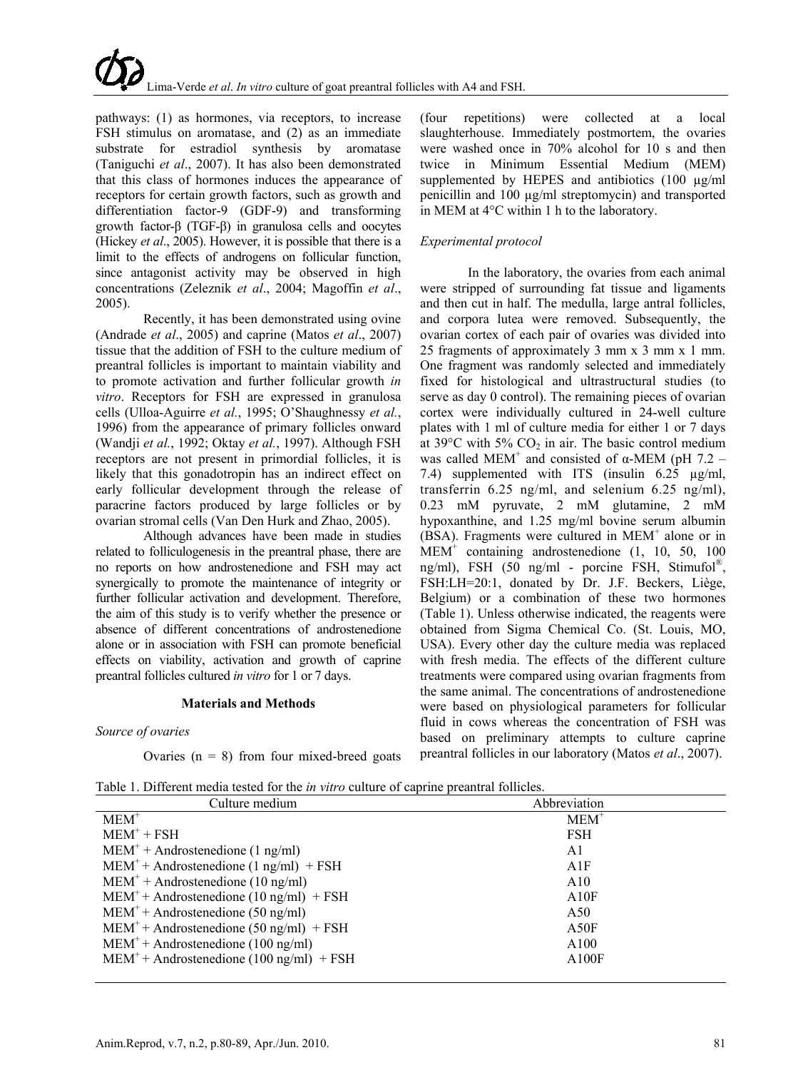pathways: (1) as hormones, via receptors, to increase FSH stimulus on aromatase, and (2) as an immediate substrate for estradiol synthesis by aromatase (Taniguchi *et al*., 2007). It has also been demonstrated that this class of hormones induces the appearance of receptors for certain growth factors, such as growth and differentiation factor-9 (GDF-9) and transforming growth factor-β (TGF-β) in granulosa cells and oocytes (Hickey *et al*., 2005). However, it is possible that there is a limit to the effects of androgens on follicular function, since antagonist activity may be observed in high concentrations (Zeleznik *et al*., 2004; Magoffin *et al*., 2005).

Recently, it has been demonstrated using ovine (Andrade *et al*., 2005) and caprine (Matos *et al*., 2007) tissue that the addition of FSH to the culture medium of preantral follicles is important to maintain viability and to promote activation and further follicular growth *in vitro*. Receptors for FSH are expressed in granulosa cells (Ulloa-Aguirre *et al.*, 1995; O'Shaughnessy *et al.*, 1996) from the appearance of primary follicles onward (Wandji *et al.*, 1992; Oktay *et al.*, 1997). Although FSH receptors are not present in primordial follicles, it is likely that this gonadotropin has an indirect effect on early follicular development through the release of paracrine factors produced by large follicles or by ovarian stromal cells (Van Den Hurk and Zhao, 2005).

Although advances have been made in studies related to folliculogenesis in the preantral phase, there are no reports on how androstenedione and FSH may act synergically to promote the maintenance of integrity or further follicular activation and development. Therefore, the aim of this study is to verify whether the presence or absence of different concentrations of androstenedione alone or in association with FSH can promote beneficial effects on viability, activation and growth of caprine preantral follicles cultured *in vitro* for 1 or 7 days.

#### **Materials and Methods**

#### *Source of ovaries*

Ovaries ( $n = 8$ ) from four mixed-breed goats

(four repetitions) were collected at a local slaughterhouse. Immediately postmortem, the ovaries were washed once in 70% alcohol for 10 s and then twice in Minimum Essential Medium (MEM) supplemented by HEPES and antibiotics (100  $\mu$ g/ml penicillin and 100 µg/ml streptomycin) and transported in MEM at 4°C within 1 h to the laboratory.

## *Experimental protocol*

In the laboratory, the ovaries from each animal were stripped of surrounding fat tissue and ligaments and then cut in half. The medulla, large antral follicles, and corpora lutea were removed. Subsequently, the ovarian cortex of each pair of ovaries was divided into 25 fragments of approximately 3 mm x 3 mm x 1 mm. One fragment was randomly selected and immediately fixed for histological and ultrastructural studies (to serve as day 0 control). The remaining pieces of ovarian cortex were individually cultured in 24-well culture plates with 1 ml of culture media for either 1 or 7 days at  $39^{\circ}$ C with  $5\%$  CO<sub>2</sub> in air. The basic control medium was called MEM<sup>+</sup> and consisted of  $\alpha$ -MEM (pH 7.2 – 7.4) supplemented with ITS (insulin 6.25 µg/ml, transferrin 6.25 ng/ml, and selenium 6.25 ng/ml), 0.23 mM pyruvate, 2 mM glutamine, 2 mM hypoxanthine, and 1.25 mg/ml bovine serum albumin (BSA). Fragments were cultured in MEM<sup>+</sup> alone or in MEM+ containing androstenedione (1, 10, 50, 100 ng/ml), FSH (50 ng/ml - porcine FSH, Stimufol®, FSH:LH=20:1, donated by Dr. J.F. Beckers, Liège, Belgium) or a combination of these two hormones (Table 1). Unless otherwise indicated, the reagents were obtained from Sigma Chemical Co. (St. Louis, MO, USA). Every other day the culture media was replaced with fresh media. The effects of the different culture treatments were compared using ovarian fragments from the same animal. The concentrations of androstenedione were based on physiological parameters for follicular fluid in cows whereas the concentration of FSH was based on preliminary attempts to culture caprine preantral follicles in our laboratory (Matos *et al*., 2007).

| Culture medium                              | Abbreviation |
|---------------------------------------------|--------------|
| $MEM+$                                      | $MEM+$       |
| $MEM^+$ + FSH                               | FSH          |
| $MEM^+ + Androstenedione (1 ng/ml)$         | A1           |
| $MEM^+ + Androstenedione (1 ng/ml) + FSH$   | A1F          |
| $MEM^+ + Androstenedione (10 ng/ml)$        | A10          |
| $MEM^+ + Androstenedione (10 ng/ml) + FSH$  | A10F         |
| $MEM^+ + Androstenedione (50 ng/ml)$        | A50          |
| $MEM^+ + Androstenedione (50 ng/ml) + FSH$  | A50F         |
| $MEM^+ + Androstenedione (100 ng/ml)$       | A100         |
| $MEM^+ + Androstenedione (100 ng/ml) + FSH$ | A100F        |

Table 1. Different media tested for the *in vitro* culture of caprine preantral follicles.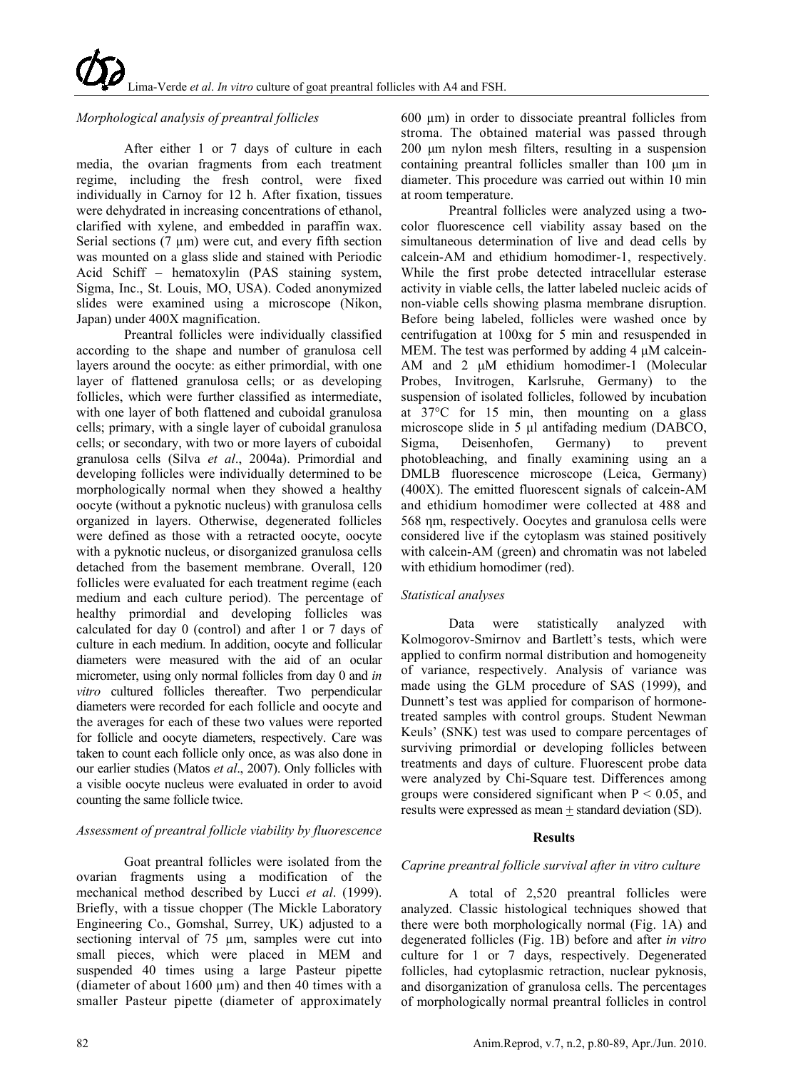## *Morphological analysis of preantral follicles*

After either 1 or 7 days of culture in each media, the ovarian fragments from each treatment regime, including the fresh control, were fixed individually in Carnoy for 12 h. After fixation, tissues were dehydrated in increasing concentrations of ethanol, clarified with xylene, and embedded in paraffin wax. Serial sections  $(7 \mu m)$  were cut, and every fifth section was mounted on a glass slide and stained with Periodic Acid Schiff – hematoxylin (PAS staining system, Sigma, Inc., St. Louis, MO, USA). Coded anonymized slides were examined using a microscope (Nikon, Japan) under 400X magnification.

Preantral follicles were individually classified according to the shape and number of granulosa cell layers around the oocyte: as either primordial, with one layer of flattened granulosa cells; or as developing follicles, which were further classified as intermediate, with one layer of both flattened and cuboidal granulosa cells; primary, with a single layer of cuboidal granulosa cells; or secondary, with two or more layers of cuboidal granulosa cells (Silva *et al*., 2004a). Primordial and developing follicles were individually determined to be morphologically normal when they showed a healthy oocyte (without a pyknotic nucleus) with granulosa cells organized in layers. Otherwise, degenerated follicles were defined as those with a retracted oocyte, oocyte with a pyknotic nucleus, or disorganized granulosa cells detached from the basement membrane. Overall, 120 follicles were evaluated for each treatment regime (each medium and each culture period). The percentage of healthy primordial and developing follicles was calculated for day 0 (control) and after 1 or 7 days of culture in each medium. In addition, oocyte and follicular diameters were measured with the aid of an ocular micrometer, using only normal follicles from day 0 and *in vitro* cultured follicles thereafter. Two perpendicular diameters were recorded for each follicle and oocyte and the averages for each of these two values were reported for follicle and oocyte diameters, respectively. Care was taken to count each follicle only once, as was also done in our earlier studies (Matos *et al*., 2007). Only follicles with a visible oocyte nucleus were evaluated in order to avoid counting the same follicle twice.

#### *Assessment of preantral follicle viability by fluorescence*

Goat preantral follicles were isolated from the ovarian fragments using a modification of the mechanical method described by Lucci *et al*. (1999). Briefly, with a tissue chopper (The Mickle Laboratory Engineering Co., Gomshal, Surrey, UK) adjusted to a sectioning interval of 75  $\mu$ m, samples were cut into small pieces, which were placed in MEM and suspended 40 times using a large Pasteur pipette (diameter of about  $1600 \mu m$ ) and then 40 times with a smaller Pasteur pipette (diameter of approximately

 $600 \mu m$ ) in order to dissociate preantral follicles from stroma. The obtained material was passed through 200 μm nylon mesh filters, resulting in a suspension containing preantral follicles smaller than 100 μm in diameter. This procedure was carried out within 10 min at room temperature.

Preantral follicles were analyzed using a twocolor fluorescence cell viability assay based on the simultaneous determination of live and dead cells by calcein-AM and ethidium homodimer-1, respectively. While the first probe detected intracellular esterase activity in viable cells, the latter labeled nucleic acids of non-viable cells showing plasma membrane disruption. Before being labeled, follicles were washed once by centrifugation at 100xg for 5 min and resuspended in MEM. The test was performed by adding 4 μM calcein-AM and 2 μM ethidium homodimer-1 (Molecular Probes, Invitrogen, Karlsruhe, Germany) to the suspension of isolated follicles, followed by incubation at 37°C for 15 min, then mounting on a glass microscope slide in 5 μl antifading medium (DABCO, Sigma, Deisenhofen, Germany) to prevent photobleaching, and finally examining using an a DMLB fluorescence microscope (Leica, Germany) (400X). The emitted fluorescent signals of calcein-AM and ethidium homodimer were collected at 488 and 568 ηm, respectively. Oocytes and granulosa cells were considered live if the cytoplasm was stained positively with calcein-AM (green) and chromatin was not labeled with ethidium homodimer (red).

#### *Statistical analyses*

Data were statistically analyzed with Kolmogorov-Smirnov and Bartlett's tests, which were applied to confirm normal distribution and homogeneity of variance, respectively. Analysis of variance was made using the GLM procedure of SAS (1999), and Dunnett's test was applied for comparison of hormonetreated samples with control groups. Student Newman Keuls' (SNK) test was used to compare percentages of surviving primordial or developing follicles between treatments and days of culture. Fluorescent probe data were analyzed by Chi-Square test. Differences among groups were considered significant when  $P < 0.05$ , and results were expressed as mean + standard deviation (SD).

#### **Results**

## *Caprine preantral follicle survival after in vitro culture*

A total of 2,520 preantral follicles were analyzed. Classic histological techniques showed that there were both morphologically normal (Fig. 1A) and degenerated follicles (Fig. 1B) before and after *in vitro* culture for 1 or 7 days, respectively. Degenerated follicles, had cytoplasmic retraction, nuclear pyknosis, and disorganization of granulosa cells. The percentages of morphologically normal preantral follicles in control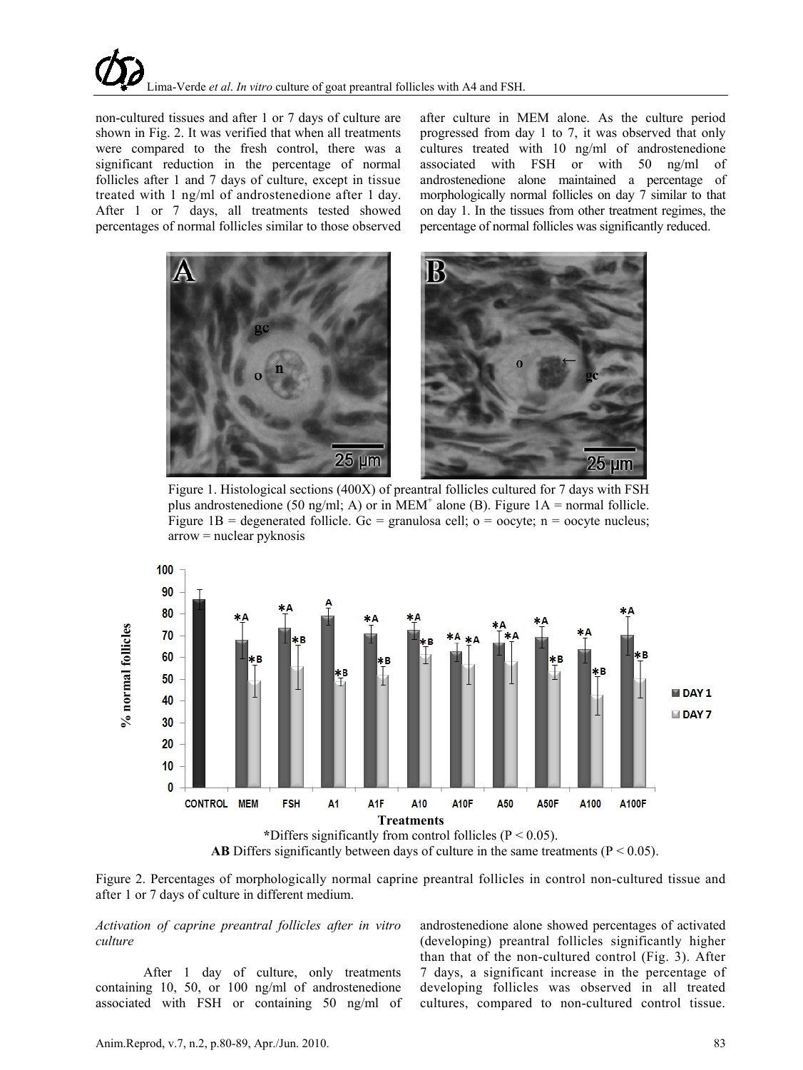non-cultured tissues and after 1 or 7 days of culture are shown in Fig. 2. It was verified that when all treatments were compared to the fresh control, there was a significant reduction in the percentage of normal follicles after 1 and 7 days of culture, except in tissue treated with 1 ng/ml of androstenedione after 1 day. After 1 or 7 days, all treatments tested showed percentages of normal follicles similar to those observed

after culture in MEM alone. As the culture period progressed from day 1 to 7, it was observed that only cultures treated with 10 ng/ml of androstenedione associated with FSH or with 50 ng/ml of androstenedione alone maintained a percentage of morphologically normal follicles on day 7 similar to that on day 1. In the tissues from other treatment regimes, the percentage of normal follicles was significantly reduced.



Figure 1. Histological sections (400X) of preantral follicles cultured for 7 days with FSH plus androstenedione (50 ng/ml; A) or in MEM<sup>+</sup> alone (B). Figure  $1A =$  normal follicle. Figure 1B = degenerated follicle. Gc = granulosa cell;  $o = ooc$  ; n = oocyte nucleus;  $arrow = nuclear$  pyknosis





*Activation of caprine preantral follicles after in vitro culture*

After 1 day of culture, only treatments containing 10, 50, or 100 ng/ml of androstenedione associated with FSH or containing 50 ng/ml of androstenedione alone showed percentages of activated (developing) preantral follicles significantly higher than that of the non-cultured control (Fig. 3). After 7 days, a significant increase in the percentage of developing follicles was observed in all treated cultures, compared to non-cultured control tissue.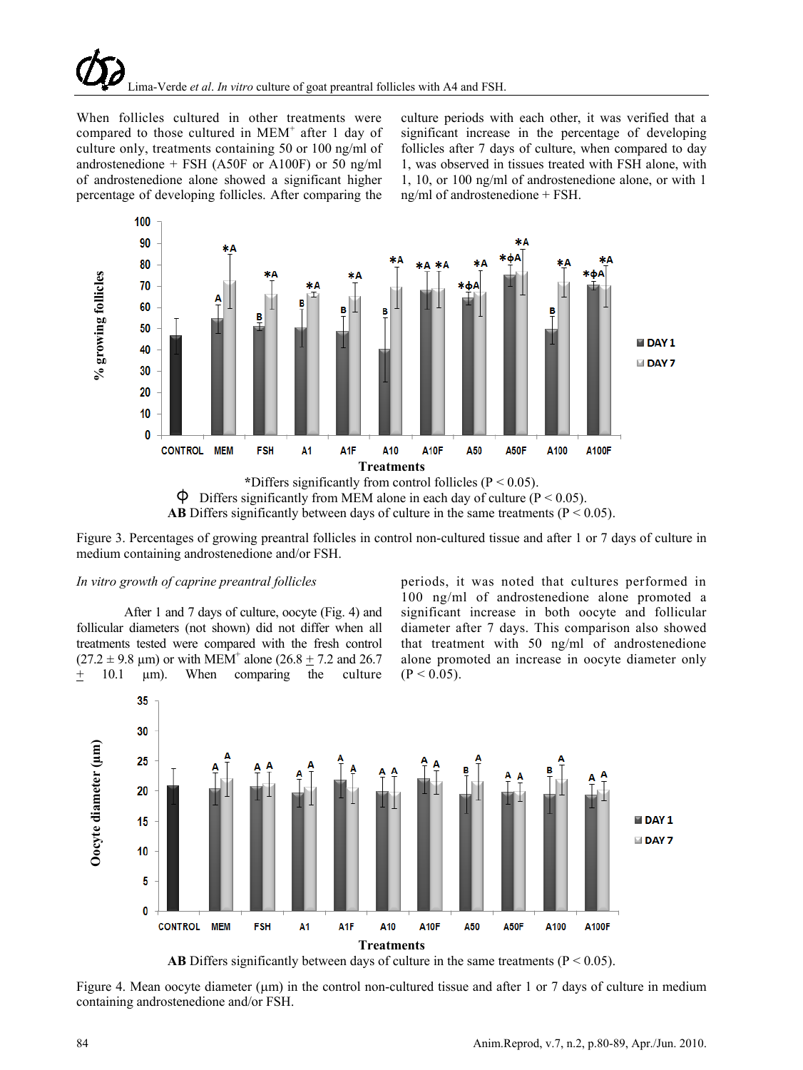When follicles cultured in other treatments were compared to those cultured in  $MEM^+$  after 1 day of culture only, treatments containing 50 or 100 ng/ml of androstenedione + FSH (A50F or A100F) or 50 ng/ml of androstenedione alone showed a significant higher percentage of developing follicles. After comparing the

culture periods with each other, it was verified that a significant increase in the percentage of developing follicles after 7 days of culture, when compared to day 1, was observed in tissues treated with FSH alone, with 1, 10, or 100 ng/ml of androstenedione alone, or with 1 ng/ml of androstenedione + FSH.



Figure 3. Percentages of growing preantral follicles in control non-cultured tissue and after 1 or 7 days of culture in medium containing androstenedione and/or FSH.

#### *In vitro growth of caprine preantral follicles*

After 1 and 7 days of culture, oocyte (Fig. 4) and follicular diameters (not shown) did not differ when all treatments tested were compared with the fresh control  $(27.2 \pm 9.8 \text{ µm})$  or with MEM<sup>+</sup> alone  $(26.8 + 7.2 \text{ and } 26.7 \text{ m})$  $+$  10.1  $\mu$ m). When comparing the culture

periods, it was noted that cultures performed in 100 ng/ml of androstenedione alone promoted a significant increase in both oocyte and follicular diameter after 7 days. This comparison also showed that treatment with 50 ng/ml of androstenedione alone promoted an increase in oocyte diameter only  $(P < 0.05)$ .



Figure 4. Mean oocyte diameter ( $\mu$ m) in the control non-cultured tissue and after 1 or 7 days of culture in medium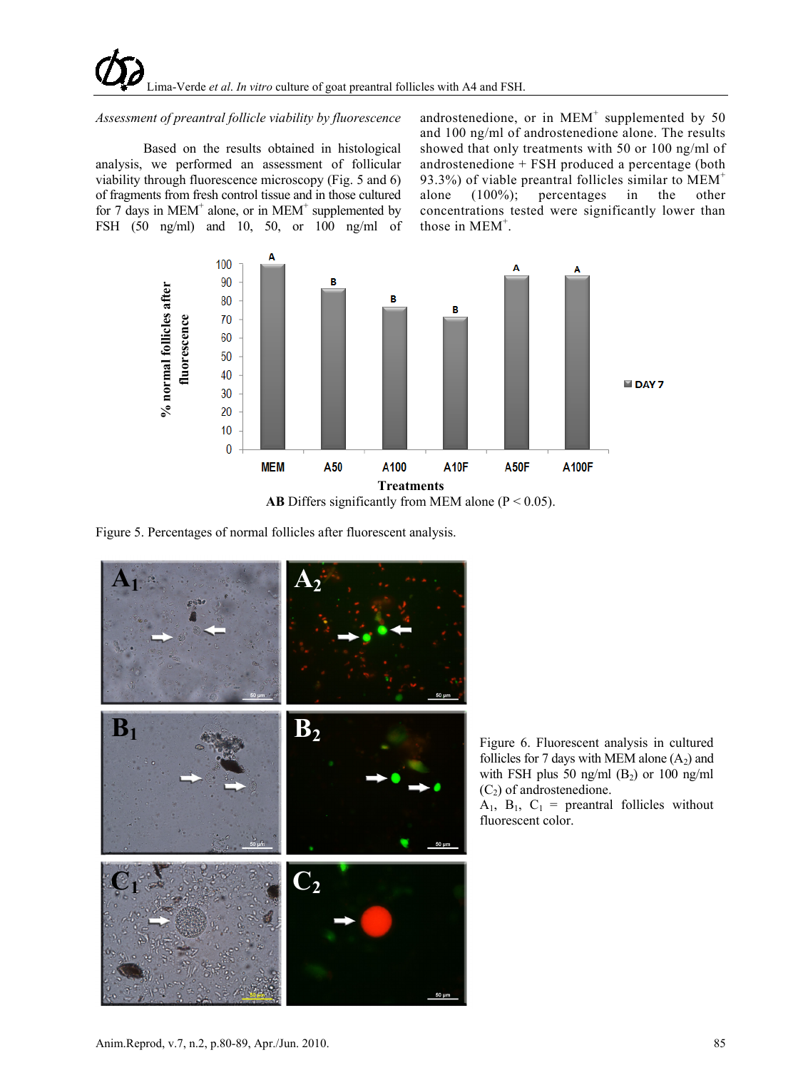## *Assessment of preantral follicle viability by fluorescence*

Based on the results obtained in histological analysis, we performed an assessment of follicular viability through fluorescence microscopy (Fig. 5 and 6) of fragments from fresh control tissue and in those cultured for 7 days in MEM<sup>+</sup> alone, or in MEM<sup>+</sup> supplemented by FSH (50 ng/ml) and 10, 50, or 100 ng/ml of androstenedione, or in  $MEM^+$  supplemented by 50 and 100 ng/ml of androstenedione alone. The results showed that only treatments with 50 or 100 ng/ml of androstenedione + FSH produced a percentage (both 93.3%) of viable preantral follicles similar to  $MEM<sup>+</sup>$ alone (100%); percentages in the other concentrations tested were significantly lower than those in MEM<sup>+</sup>.



**AB** Differs significantly from MEM alone ( $P < 0.05$ ).

Figure 5. Percentages of normal follicles after fluorescent analysis.



Figure 6. Fluorescent analysis in cultured follicles for 7 days with MEM alone  $(A_2)$  and with FSH plus 50 ng/ml  $(B_2)$  or 100 ng/ml  $(C_2)$  of androstenedione.

 $A_1$ ,  $B_1$ ,  $C_1$  = preantral follicles without fluorescent color.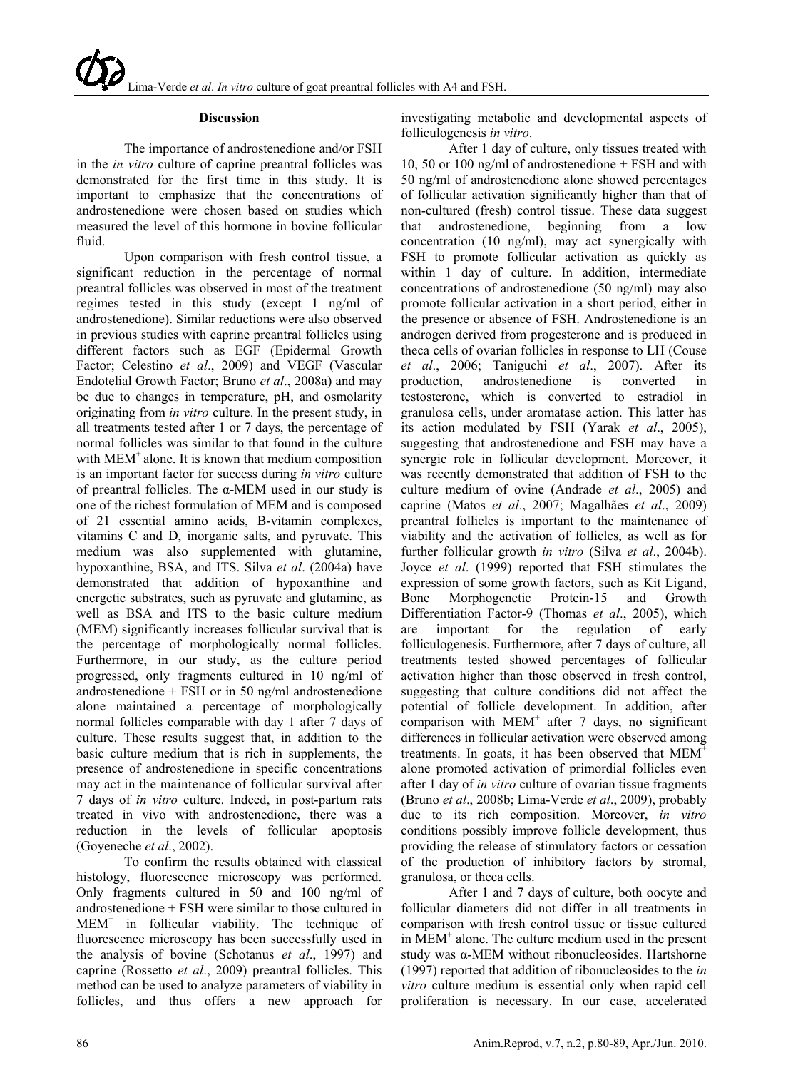#### **Discussion**

The importance of androstenedione and/or FSH in the *in vitro* culture of caprine preantral follicles was demonstrated for the first time in this study. It is important to emphasize that the concentrations of androstenedione were chosen based on studies which measured the level of this hormone in bovine follicular fluid.

Upon comparison with fresh control tissue, a significant reduction in the percentage of normal preantral follicles was observed in most of the treatment regimes tested in this study (except 1 ng/ml of androstenedione). Similar reductions were also observed in previous studies with caprine preantral follicles using different factors such as EGF (Epidermal Growth Factor; Celestino *et al*., 2009) and VEGF (Vascular Endotelial Growth Factor; Bruno *et al*., 2008a) and may be due to changes in temperature, pH, and osmolarity originating from *in vitro* culture. In the present study, in all treatments tested after 1 or 7 days, the percentage of normal follicles was similar to that found in the culture with MEM<sup>+</sup> alone. It is known that medium composition is an important factor for success during *in vitro* culture of preantral follicles. The  $\alpha$ -MEM used in our study is one of the richest formulation of MEM and is composed of 21 essential amino acids, B-vitamin complexes, vitamins C and D, inorganic salts, and pyruvate. This medium was also supplemented with glutamine, hypoxanthine, BSA, and ITS. Silva *et al*. (2004a) have demonstrated that addition of hypoxanthine and energetic substrates, such as pyruvate and glutamine, as well as BSA and ITS to the basic culture medium (MEM) significantly increases follicular survival that is the percentage of morphologically normal follicles. Furthermore, in our study, as the culture period progressed, only fragments cultured in 10 ng/ml of androstenedione + FSH or in 50 ng/ml androstenedione alone maintained a percentage of morphologically normal follicles comparable with day 1 after 7 days of culture. These results suggest that, in addition to the basic culture medium that is rich in supplements, the presence of androstenedione in specific concentrations may act in the maintenance of follicular survival after 7 days of *in vitro* culture. Indeed, in post-partum rats treated in vivo with androstenedione, there was a reduction in the levels of follicular apoptosis (Goyeneche *et al*., 2002).

To confirm the results obtained with classical histology, fluorescence microscopy was performed. Only fragments cultured in 50 and 100 ng/ml of androstenedione + FSH were similar to those cultured in  $MEM^+$  in follicular viability. The technique of fluorescence microscopy has been successfully used in the analysis of bovine (Schotanus *et al*., 1997) and caprine (Rossetto *et al*., 2009) preantral follicles. This method can be used to analyze parameters of viability in follicles, and thus offers a new approach for

investigating metabolic and developmental aspects of folliculogenesis *in vitro*.

After 1 day of culture, only tissues treated with 10, 50 or 100 ng/ml of androstenedione + FSH and with 50 ng/ml of androstenedione alone showed percentages of follicular activation significantly higher than that of non-cultured (fresh) control tissue. These data suggest that androstenedione, beginning from a low concentration (10 ng/ml), may act synergically with FSH to promote follicular activation as quickly as within 1 day of culture. In addition, intermediate concentrations of androstenedione (50 ng/ml) may also promote follicular activation in a short period, either in the presence or absence of FSH. Androstenedione is an androgen derived from progesterone and is produced in theca cells of ovarian follicles in response to LH (Couse *et al*., 2006; Taniguchi *et al*., 2007). After its production, androstenedione is converted in testosterone, which is converted to estradiol in granulosa cells, under aromatase action. This latter has its action modulated by FSH (Yarak *et al*., 2005), suggesting that androstenedione and FSH may have a synergic role in follicular development. Moreover, it was recently demonstrated that addition of FSH to the culture medium of ovine (Andrade *et al*., 2005) and caprine (Matos *et al*., 2007; Magalhães *et al*., 2009) preantral follicles is important to the maintenance of viability and the activation of follicles, as well as for further follicular growth *in vitro* (Silva *et al*., 2004b). Joyce *et al*. (1999) reported that FSH stimulates the expression of some growth factors, such as Kit Ligand, Bone Morphogenetic Protein-15 and Growth Differentiation Factor-9 (Thomas *et al*., 2005), which are important for the regulation of early folliculogenesis. Furthermore, after 7 days of culture, all treatments tested showed percentages of follicular activation higher than those observed in fresh control, suggesting that culture conditions did not affect the potential of follicle development. In addition, after comparison with  $MEM^+$  after 7 days, no significant differences in follicular activation were observed among treatments. In goats, it has been observed that  $MEM<sup>+</sup>$ alone promoted activation of primordial follicles even after 1 day of *in vitro* culture of ovarian tissue fragments (Bruno *et al*., 2008b; Lima-Verde *et al*., 2009), probably due to its rich composition. Moreover, *in vitro* conditions possibly improve follicle development, thus providing the release of stimulatory factors or cessation of the production of inhibitory factors by stromal, granulosa, or theca cells.

After 1 and 7 days of culture, both oocyte and follicular diameters did not differ in all treatments in comparison with fresh control tissue or tissue cultured in MEM+ alone. The culture medium used in the present study was α-MEM without ribonucleosides. Hartshorne (1997) reported that addition of ribonucleosides to the *in vitro* culture medium is essential only when rapid cell proliferation is necessary. In our case, accelerated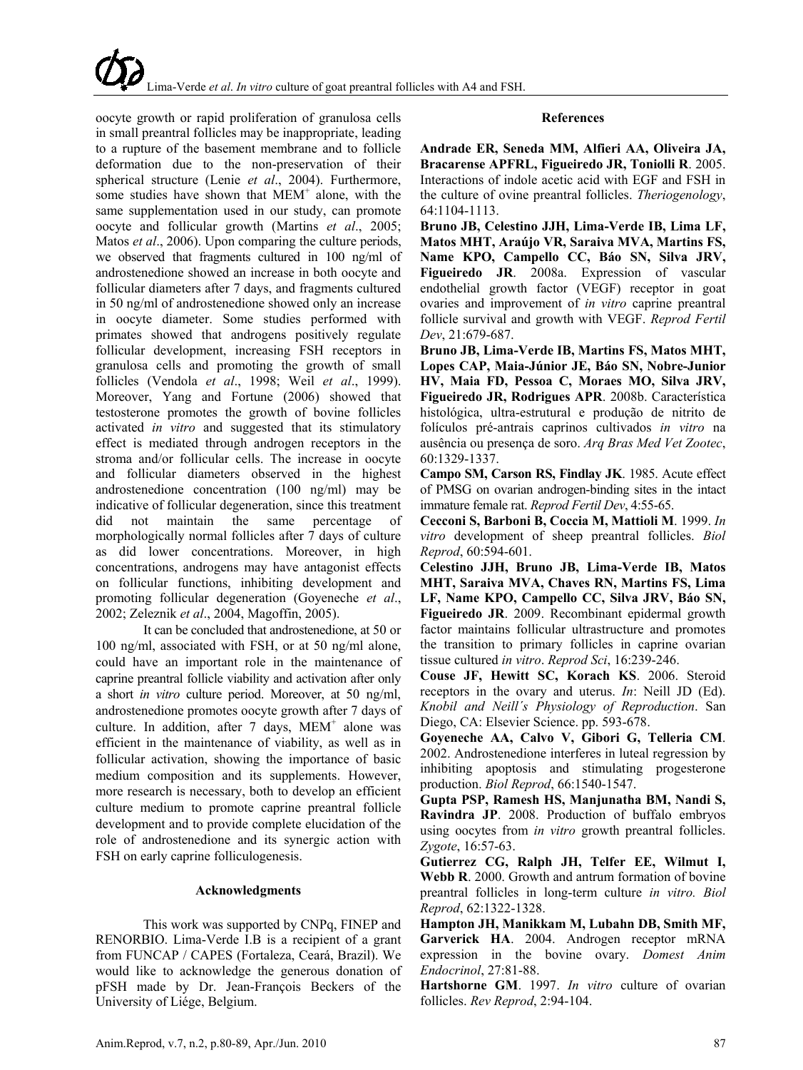oocyte growth or rapid proliferation of granulosa cells in small preantral follicles may be inappropriate, leading to a rupture of the basement membrane and to follicle deformation due to the non-preservation of their spherical structure (Lenie *et al*., 2004). Furthermore, some studies have shown that  $MEM<sup>+</sup>$  alone, with the same supplementation used in our study, can promote oocyte and follicular growth (Martins *et al*., 2005; Matos *et al*., 2006). Upon comparing the culture periods, we observed that fragments cultured in 100 ng/ml of androstenedione showed an increase in both oocyte and follicular diameters after 7 days, and fragments cultured in 50 ng/ml of androstenedione showed only an increase in oocyte diameter. Some studies performed with primates showed that androgens positively regulate follicular development, increasing FSH receptors in granulosa cells and promoting the growth of small follicles (Vendola *et al*., 1998; Weil *et al*., 1999). Moreover, Yang and Fortune (2006) showed that testosterone promotes the growth of bovine follicles activated *in vitro* and suggested that its stimulatory effect is mediated through androgen receptors in the stroma and/or follicular cells. The increase in oocyte and follicular diameters observed in the highest androstenedione concentration (100 ng/ml) may be indicative of follicular degeneration, since this treatment did not maintain the same percentage of morphologically normal follicles after 7 days of culture as did lower concentrations. Moreover, in high concentrations, androgens may have antagonist effects on follicular functions, inhibiting development and promoting follicular degeneration (Goyeneche *et al*., 2002; Zeleznik *et al*., 2004, Magoffin, 2005).

It can be concluded that androstenedione, at 50 or 100 ng/ml, associated with FSH, or at 50 ng/ml alone, could have an important role in the maintenance of caprine preantral follicle viability and activation after only a short *in vitro* culture period. Moreover, at 50 ng/ml, androstenedione promotes oocyte growth after 7 days of culture. In addition, after  $7 \text{ days}$ , MEM<sup>+</sup> alone was efficient in the maintenance of viability, as well as in follicular activation, showing the importance of basic medium composition and its supplements. However, more research is necessary, both to develop an efficient culture medium to promote caprine preantral follicle development and to provide complete elucidation of the role of androstenedione and its synergic action with FSH on early caprine folliculogenesis.

#### **Acknowledgments**

This work was supported by CNPq, FINEP and RENORBIO. Lima-Verde I.B is a recipient of a grant from FUNCAP / CAPES (Fortaleza, Ceará, Brazil). We would like to acknowledge the generous donation of pFSH made by Dr. Jean-François Beckers of the University of Liége, Belgium.

## **References**

**Andrade ER, Seneda MM, Alfieri AA, Oliveira JA, Bracarense APFRL, Figueiredo JR, Toniolli R**. 2005. Interactions of indole acetic acid with EGF and FSH in the culture of ovine preantral follicles. *Theriogenology*, 64:1104-1113.

**Bruno JB, Celestino JJH, Lima-Verde IB, Lima LF, Matos MHT, Araújo VR, Saraiva MVA, Martins FS, Name KPO, Campello CC, Báo SN, Silva JRV, Figueiredo JR**. 2008a. Expression of vascular endothelial growth factor (VEGF) receptor in goat ovaries and improvement of *in vitro* caprine preantral follicle survival and growth with VEGF. *Reprod Fertil Dev*, 21:679-687.

**Bruno JB, Lima-Verde IB, Martins FS, Matos MHT, Lopes CAP, Maia-Júnior JE, Báo SN, Nobre-Junior HV, Maia FD, Pessoa C, Moraes MO, Silva JRV, Figueiredo JR, Rodrigues APR**. 2008b. Característica histológica, ultra-estrutural e produção de nitrito de folículos pré-antrais caprinos cultivados *in vitro* na ausência ou presença de soro. *Arq Bras Med Vet Zootec*, 60:1329-1337.

**Campo SM, Carson RS, Findlay JK**. 1985. Acute effect of PMSG on ovarian androgen-binding sites in the intact immature female rat. *Reprod Fertil Dev*, 4:55-65.

**Cecconi S, Barboni B, Coccia M, Mattioli M**. 1999. *In vitro* development of sheep preantral follicles. *Biol Reprod*, 60:594-601.

**Celestino JJH, Bruno JB, Lima-Verde IB, Matos MHT, Saraiva MVA, Chaves RN, Martins FS, Lima LF, Name KPO, Campello CC, Silva JRV, Báo SN, Figueiredo JR**. 2009. Recombinant epidermal growth factor maintains follicular ultrastructure and promotes the transition to primary follicles in caprine ovarian tissue cultured *in vitro*. *Reprod Sci*, 16:239-246.

**Couse JF, Hewitt SC, Korach KS**. 2006. Steroid receptors in the ovary and uterus. *In*: Neill JD (Ed). *Knobil and Neill´s Physiology of Reproduction*. San Diego, CA: Elsevier Science. pp. 593-678.

**Goyeneche AA, Calvo V, Gibori G, Telleria CM**. 2002. Androstenedione interferes in luteal regression by inhibiting apoptosis and stimulating progesterone production. *Biol Reprod*, 66:1540-1547.

**Gupta PSP, Ramesh HS, Manjunatha BM, Nandi S, Ravindra JP**. 2008. Production of buffalo embryos using oocytes from *in vitro* growth preantral follicles. *Zygote*, 16:57-63.

**Gutierrez CG, Ralph JH, Telfer EE, Wilmut I, Webb R**. 2000. Growth and antrum formation of bovine preantral follicles in long-term culture *in vitro. Biol Reprod*, 62:1322-1328.

**Hampton JH, Manikkam M, Lubahn DB, Smith MF, Garverick HA**. 2004. Androgen receptor mRNA expression in the bovine ovary. *[Domest](http://www.sciencedirect.com/science/journal/07397240) Anim [Endoc](http://www.sciencedirect.com/science/journal/07397240)rinol*, 27:81-88.

**Hartshorne GM**. 1997. *In vitro* culture of ovarian follicles. *Rev Reprod*, 2:94-104.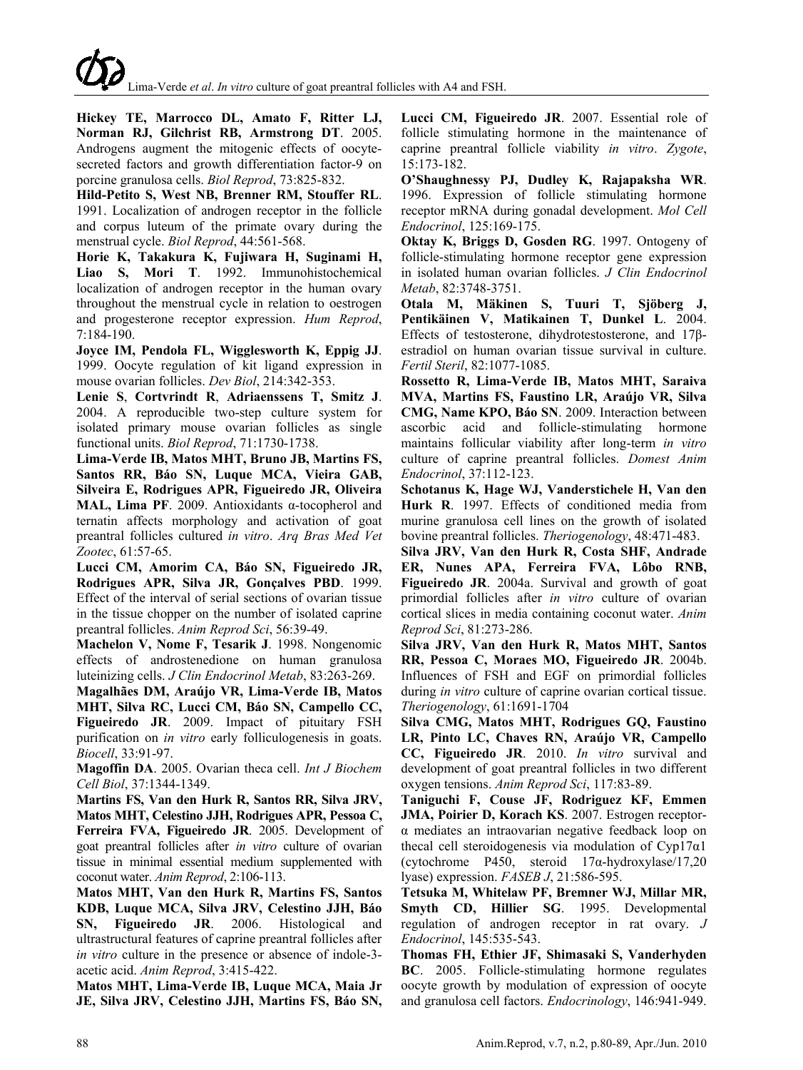**Hickey TE, Marrocco DL, Amato F, Ritter LJ, Norman RJ, Gilchrist RB, Armstrong DT**. 2005. Androgens augment the mitogenic effects of oocytesecreted factors and growth differentiation factor-9 on porcine granulosa cells. *Biol Reprod*, 73:825-832.

**Hild-Petito S, West NB, Brenner RM, Stouffer RL**. 1991. Localization of androgen receptor in the follicle and corpus luteum of the primate ovary during the menstrual cycle. *Biol Reprod*, 44:561-568.

**Horie K, Takakura K, Fujiwara H, Suginami H, Liao S, Mori T**. 1992. Immunohistochemical localization of androgen receptor in the human ovary throughout the menstrual cycle in relation to oestrogen and progesterone receptor expression. *Hum Reprod*, 7:184-190.

**Joyce IM, Pendola FL, Wigglesworth K, Eppig JJ**. 1999. Oocyte regulation of kit ligand expression in mouse ovarian follicles. *Dev Biol*, 214:342-353.

**Lenie S**, **Cortvrindt R**, **Adriaenssens T, Smitz J**. 2004. A reproducible two-step culture system for isolated primary mouse ovarian follicles as single functional units. *Biol Reprod*, 71:1730-1738.

**Lima-Verde IB, Matos MHT, Bruno JB, Martins FS, Santos RR, Báo SN, Luque MCA, Vieira GAB, Silveira E, Rodrigues APR, Figueiredo JR, Oliveira MAL, Lima PF**. 2009. Antioxidants α-tocopherol and ternatin affects morphology and activation of goat preantral follicles cultured *in vitro*. *Arq Bras Med Vet Zootec*, 61:57-65.

**Lucci CM, Amorim CA, Báo SN, Figueiredo JR, Rodrigues APR, Silva JR, Gonçalves PBD**. 1999. Effect of the interval of serial sections of ovarian tissue in the tissue chopper on the number of isolated caprine preantral follicles. *Anim Reprod Sci*, 56:39-49.

**Machelon V, Nome F, Tesarik J**. 1998. Nongenomic effects of androstenedione on human granulosa luteinizing cells. *J Clin Endocrinol Metab*, 83:263-269.

**Magalhães DM, Araújo VR, Lima-Verde IB, Matos MHT, Silva RC, Lucci CM, Báo SN, Campello CC, Figueiredo JR**. 2009. Impact of pituitary FSH purification on *in vitro* early folliculogenesis in goats. *Biocell*, 33:91-97.

**Magoffin DA**. 2005. Ovarian theca cell. *Int J Biochem Cell Biol*, 37:1344-1349.

**Martins FS, Van den Hurk R, Santos RR, Silva JRV, Matos MHT, Celestino JJH, Rodrigues APR, Pessoa C, Ferreira FVA, Figueiredo JR**. 2005. Development of goat preantral follicles after *in vitro* culture of ovarian tissue in minimal essential medium supplemented with coconut water. *Anim Reprod*, 2:106-113.

**Matos MHT, Van den Hurk R, Martins FS, Santos KDB, Luque MCA, Silva JRV, Celestino JJH, Báo SN, Figueiredo JR**. 2006. Histological and ultrastructural features of caprine preantral follicles after *in vitro* culture in the presence or absence of indole-3 acetic acid. *Anim Reprod*, 3:415-422.

**Matos MHT, Lima-Verde IB, Luque MCA, Maia Jr JE, Silva JRV, Celestino JJH, Martins FS, Báo SN,** **Lucci CM, Figueiredo JR**. 2007. Essential role of follicle stimulating hormone in the maintenance of caprine preantral follicle viability *in vitro*. *Zygote*, 15:173-182.

**O'Shaughnessy PJ, Dudley K, Rajapaksha WR**. 1996. Expression of follicle stimulating hormone receptor mRNA during gonadal development. *Mol Cell Endocrinol*, 125:169-175.

**Oktay K, Briggs D, Gosden RG**. 1997. Ontogeny of follicle-stimulating hormone receptor gene expression in isolated human ovarian follicles. *J Clin Endocrinol Metab*, 82:3748-3751.

**[Otala](http://www.fertstert.org/article/S0015-0282(04)01292-0/abstract) M, [Mäkinen](http://www.fertstert.org/article/S0015-0282(04)01292-0/abstract) S, [Tuuri](http://www.fertstert.org/article/S0015-0282(04)01292-0/abstract) T, [Sjöberg](http://www.fertstert.org/article/S0015-0282(04)01292-0/abstract) J, [Pentikäinen](http://www.fertstert.org/article/S0015-0282(04)01292-0/abstract) V, [Matikainen](http://www.fertstert.org/article/S0015-0282(04)01292-0/abstract) T, [Dunkel](http://www.fertstert.org/article/S0015-0282(04)01292-0/abstract) L**. 2004. Effects of testosterone, dihydrotestosterone, and 17βestradiol on human ovarian tissue survival in culture. *Fertil Steril*, 82:1077-1085.

**Rossetto R, Lima-Verde IB, Matos MHT, Saraiva MVA, Martins FS, Faustino LR, Araújo VR, Silva CMG, Name KPO, Báo SN**. 2009. Interaction between ascorbic acid and follicle-stimulating hormone maintains follicular viability after long-term *in vitro* culture of caprine preantral follicles. *Domest Anim Endocrinol*, 37:112-123.

**Schotanus K, Hage WJ, Vanderstichele H, Van den Hurk R**. 1997. Effects of conditioned media from murine granulosa cell lines on the growth of isolated bovine preantral follicles. *Theriogenology*, 48:471-483.

**Silva JRV, Van den Hurk R, Costa SHF, Andrade ER, Nunes APA, Ferreira FVA, Lôbo RNB, Figueiredo JR**. 2004a. Survival and growth of goat primordial follicles after *in vitro* culture of ovarian cortical slices in media containing coconut water. *Anim Reprod Sci*, 81:273-286.

**Silva JRV, Van den Hurk R, Matos MHT, Santos RR, Pessoa C, Moraes MO, Figueiredo JR**. 2004b. [Influences of FSH and EGF on primordial follicles](http://www.sciencedirect.com/science?_ob=ArticleURL&_udi=B6TCM-4B7HMC0-1&_user=10&_coverDate=06%2F30%2F2004&_rdoc=8&_fmt=high&_orig=browse&_srch=doc-info(%23toc%235174%232004%23999389990%23482852%23FLA%23display%23Volume)&_cdi=5174&_sort=d&_docanchor=&_ct=16&_acct=C000050221&_version=1&_urlVersion=0&_userid=10&md5=3bceb492171bc13bb0d58aadc6837292)  during *in vitro* [culture of caprine ovarian cortical tissue.](http://www.sciencedirect.com/science?_ob=ArticleURL&_udi=B6TCM-4B7HMC0-1&_user=10&_coverDate=06%2F30%2F2004&_rdoc=8&_fmt=high&_orig=browse&_srch=doc-info(%23toc%235174%232004%23999389990%23482852%23FLA%23display%23Volume)&_cdi=5174&_sort=d&_docanchor=&_ct=16&_acct=C000050221&_version=1&_urlVersion=0&_userid=10&md5=3bceb492171bc13bb0d58aadc6837292) *Theriogenology*, 61:1691-1704

**Silva CMG, Matos MHT, Rodrigues GQ, Faustino LR, Pinto LC, Chaves RN, Araújo VR, Campello CC, Figueiredo JR**. 2010. *In vitro* survival and development of goat preantral follicles in two different oxygen tensions. *Anim Reprod Sci*, 117:83-89.

**Taniguchi F, Couse JF, Rodriguez KF, Emmen JMA, Poirier D, Korach KS**. 2007. Estrogen receptorα mediates an intraovarian negative feedback loop on thecal cell steroidogenesis via modulation of Cyp17α1 (cytochrome P450, steroid 17α-hydroxylase/17,20 lyase) expression. *FASEB J*, 21:586-595.

**Tetsuka M, Whitelaw PF, Bremner WJ, Millar MR, Smyth CD, Hillier SG**. 1995. Developmental regulation of androgen receptor in rat ovary. *J Endocrinol*, 145:535-543.

**Thomas FH, Ethier JF, Shimasaki S, Vanderhyden BC**. 2005. Follicle-stimulating hormone regulates oocyte growth by modulation of expression of oocyte and granulosa cell factors. *Endocrinology*, 146:941-949.